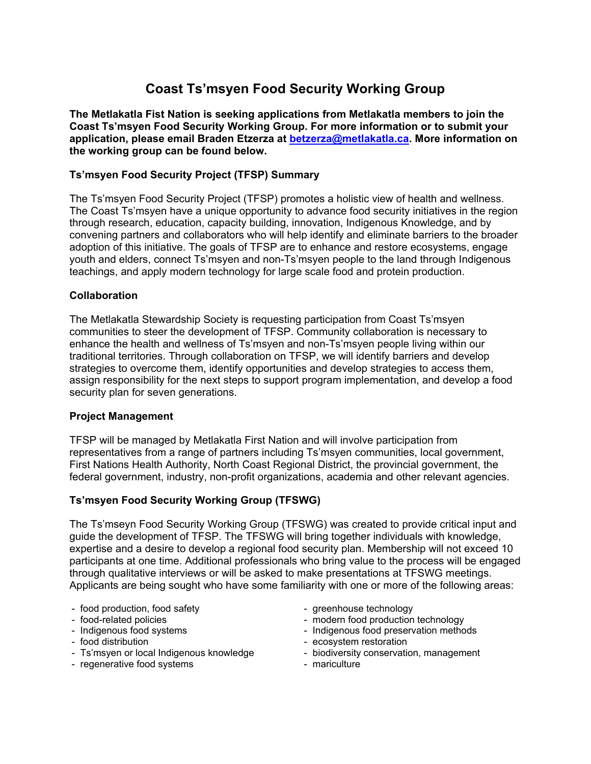# **Coast Ts'msyen Food Security Working Group**

**The Metlakatla Fist Nation is seeking applications from Metlakatla members to join the Coast Ts'msyen Food Security Working Group. For more information or to submit your application, please email Braden Etzerza at [betzerza@metlakatla.ca.](mailto:betzerza@metlakatla.ca) More information on the working group can be found below.**

## **Ts'msyen Food Security Project (TFSP) Summary**

The Ts'msyen Food Security Project (TFSP) promotes a holistic view of health and wellness. The Coast Ts'msyen have a unique opportunity to advance food security initiatives in the region through research, education, capacity building, innovation, Indigenous Knowledge, and by convening partners and collaborators who will help identify and eliminate barriers to the broader adoption of this initiative. The goals of TFSP are to enhance and restore ecosystems, engage youth and elders, connect Ts'msyen and non-Ts'msyen people to the land through Indigenous teachings, and apply modern technology for large scale food and protein production.

## **Collaboration**

The Metlakatla Stewardship Society is requesting participation from Coast Ts'msyen communities to steer the development of TFSP. Community collaboration is necessary to enhance the health and wellness of Ts'msyen and non-Ts'msyen people living within our traditional territories. Through collaboration on TFSP, we will identify barriers and develop strategies to overcome them, identify opportunities and develop strategies to access them, assign responsibility for the next steps to support program implementation, and develop a food security plan for seven generations.

## **Project Management**

TFSP will be managed by Metlakatla First Nation and will involve participation from representatives from a range of partners including Ts'msyen communities, local government, First Nations Health Authority, North Coast Regional District, the provincial government, the federal government, industry, non-profit organizations, academia and other relevant agencies.

## **Ts'msyen Food Security Working Group (TFSWG)**

The Ts'mseyn Food Security Working Group (TFSWG) was created to provide critical input and guide the development of TFSP. The TFSWG will bring together individuals with knowledge, expertise and a desire to develop a regional food security plan. Membership will not exceed 10 participants at one time. Additional professionals who bring value to the process will be engaged through qualitative interviews or will be asked to make presentations at TFSWG meetings. Applicants are being sought who have some familiarity with one or more of the following areas:

- food production, food safety
- food-related policies
- Indigenous food systems
- food distribution
- Ts'msyen or local Indigenous knowledge
- regenerative food systems
- greenhouse technology
- modern food production technology
- Indigenous food preservation methods
- ecosystem restoration
- biodiversity conservation, management
- mariculture